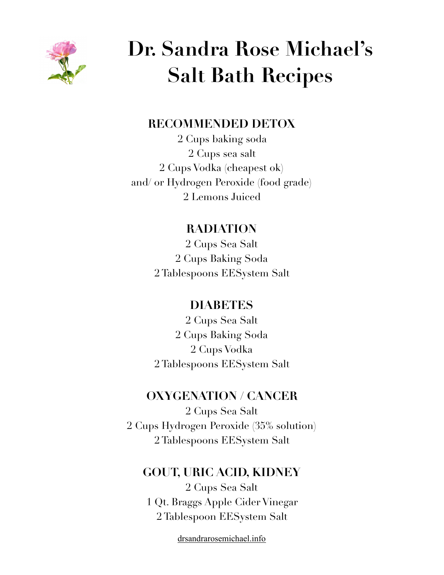

# **Dr. Sandra Rose Michael's Salt Bath Recipes**

#### **RECOMMENDED DETOX**

2 Cups baking soda 2 Cups sea salt 2 Cups Vodka (cheapest ok) and/ or Hydrogen Peroxide (food grade) 2 Lemons Juiced

## **RADIATION**

2 Cups Sea Salt 2 Cups Baking Soda 2 Tablespoons EESystem Salt

## **DIABETES**

2 Cups Sea Salt 2 Cups Baking Soda 2 Cups Vodka 2 Tablespoons EESystem Salt

#### **OXYGENATION / CANCER**

2 Cups Sea Salt 2 Cups Hydrogen Peroxide (35% solution) 2 Tablespoons EESystem Salt

#### **GOUT, URIC ACID, KIDNEY**

2 Cups Sea Salt 1 Qt. Braggs Apple Cider Vinegar 2 Tablespoon EESystem Salt

[drsandrarosemichael.info](http://drsandrarosemichael.info)